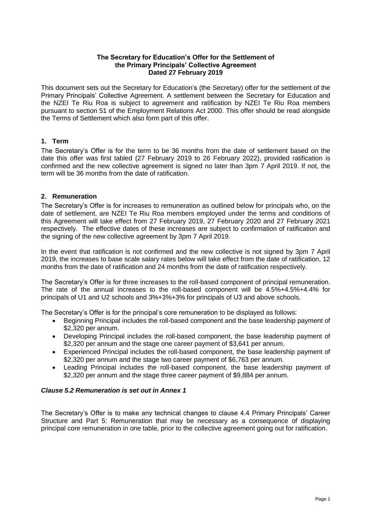### **The Secretary for Education's Offer for the Settlement of the Primary Principals' Collective Agreement Dated 27 February 2019**

This document sets out the Secretary for Education's (the Secretary) offer for the settlement of the Primary Principals' Collective Agreement. A settlement between the Secretary for Education and the NZEI Te Riu Roa is subject to agreement and ratification by NZEI Te Riu Roa members pursuant to section 51 of the Employment Relations Act 2000. This offer should be read alongside the Terms of Settlement which also form part of this offer.

## **1. Term**

The Secretary's Offer is for the term to be 36 months from the date of settlement based on the date this offer was first tabled (27 February 2019 to 26 February 2022), provided ratification is confirmed and the new collective agreement is signed no later than 3pm 7 April 2019. If not, the term will be 36 months from the date of ratification.

## **2. Remuneration**

The Secretary's Offer is for increases to remuneration as outlined below for principals who, on the date of settlement, are NZEI Te Riu Roa members employed under the terms and conditions of this Agreement will take effect from 27 February 2019, 27 February 2020 and 27 February 2021 respectively. The effective dates of these increases are subject to confirmation of ratification and the signing of the new collective agreement by 3pm 7 April 2019.

In the event that ratification is not confirmed and the new collective is not signed by 3pm 7 April 2019, the increases to base scale salary rates below will take effect from the date of ratification, 12 months from the date of ratification and 24 months from the date of ratification respectively.

The Secretary's Offer is for three increases to the roll-based component of principal remuneration. The rate of the annual increases to the roll-based component will be 4.5%+4.5%+4.4% for principals of U1 and U2 schools and 3%+3%+3% for principals of U3 and above schools.

The Secretary's Offer is for the principal's core remuneration to be displayed as follows:

- Beginning Principal includes the roll-based component and the base leadership payment of \$2,320 per annum.
- Developing Principal includes the roll-based component, the base leadership payment of \$2,320 per annum and the stage one career payment of \$3,641 per annum.
- Experienced Principal includes the roll-based component, the base leadership payment of \$2,320 per annum and the stage two career payment of \$6,763 per annum.
- Leading Principal includes the roll-based component, the base leadership payment of \$2,320 per annum and the stage three career payment of \$9,884 per annum.

## *Clause 5.2 Remuneration is set out in Annex 1*

The Secretary's Offer is to make any technical changes to clause 4.4 Primary Principals' Career Structure and Part 5: Remuneration that may be necessary as a consequence of displaying principal core remuneration in one table, prior to the collective agreement going out for ratification.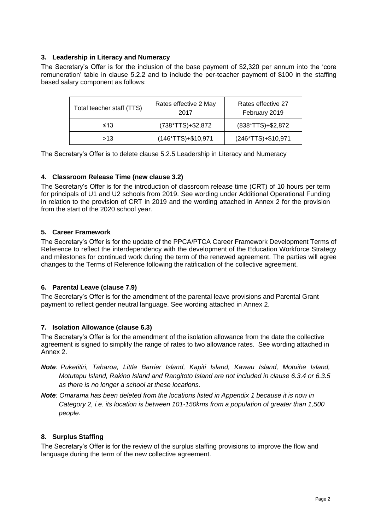# **3. Leadership in Literacy and Numeracy**

The Secretary's Offer is for the inclusion of the base payment of \$2,320 per annum into the 'core remuneration' table in clause 5.2.2 and to include the per-teacher payment of \$100 in the staffing based salary component as follows:

| Total teacher staff (TTS) | Rates effective 2 May<br>2017 | Rates effective 27<br>February 2019 |  |
|---------------------------|-------------------------------|-------------------------------------|--|
| ≤13                       | (738*TTS)+\$2,872             | $(838*TTS)+\$2,872$                 |  |
| >13                       | $(146*TTS)+\$10,971$          | (246*TTS)+\$10,971                  |  |

The Secretary's Offer is to delete clause 5.2.5 Leadership in Literacy and Numeracy

## **4. Classroom Release Time (new clause 3.2)**

The Secretary's Offer is for the introduction of classroom release time (CRT) of 10 hours per term for principals of U1 and U2 schools from 2019. See wording under Additional Operational Funding in relation to the provision of CRT in 2019 and the wording attached in Annex 2 for the provision from the start of the 2020 school year.

## **5. Career Framework**

The Secretary's Offer is for the update of the PPCA/PTCA Career Framework Development Terms of Reference to reflect the interdependency with the development of the Education Workforce Strategy and milestones for continued work during the term of the renewed agreement. The parties will agree changes to the Terms of Reference following the ratification of the collective agreement.

### **6. Parental Leave (clause 7.9)**

The Secretary's Offer is for the amendment of the parental leave provisions and Parental Grant payment to reflect gender neutral language. See wording attached in Annex 2.

### **7. Isolation Allowance (clause 6.3)**

The Secretary's Offer is for the amendment of the isolation allowance from the date the collective agreement is signed to simplify the range of rates to two allowance rates. See wording attached in Annex 2.

- *Note: Puketitiri, Taharoa, Little Barrier Island, Kapiti Island, Kawau Island, Motuihe Island, Motutapu Island, Rakino Island and Rangitoto Island are not included in clause 6.3.4 or 6.3.5 as there is no longer a school at these locations.*
- *Note: Omarama has been deleted from the locations listed in Appendix 1 because it is now in Category 2, i.e. its location is between 101-150kms from a population of greater than 1,500 people.*

### **8. Surplus Staffing**

The Secretary's Offer is for the review of the surplus staffing provisions to improve the flow and language during the term of the new collective agreement.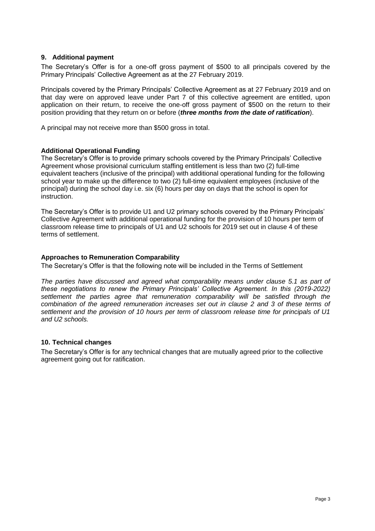## **9. Additional payment**

The Secretary's Offer is for a one-off gross payment of \$500 to all principals covered by the Primary Principals' Collective Agreement as at the 27 February 2019.

Principals covered by the Primary Principals' Collective Agreement as at 27 February 2019 and on that day were on approved leave under Part 7 of this collective agreement are entitled, upon application on their return, to receive the one-off gross payment of \$500 on the return to their position providing that they return on or before (*three months from the date of ratification*).

A principal may not receive more than \$500 gross in total.

### **Additional Operational Funding**

The Secretary's Offer is to provide primary schools covered by the Primary Principals' Collective Agreement whose provisional curriculum staffing entitlement is less than two (2) full-time equivalent teachers (inclusive of the principal) with additional operational funding for the following school year to make up the difference to two (2) full-time equivalent employees (inclusive of the principal) during the school day i.e. six (6) hours per day on days that the school is open for instruction.

The Secretary's Offer is to provide U1 and U2 primary schools covered by the Primary Principals' Collective Agreement with additional operational funding for the provision of 10 hours per term of classroom release time to principals of U1 and U2 schools for 2019 set out in clause 4 of these terms of settlement.

### **Approaches to Remuneration Comparability**

The Secretary's Offer is that the following note will be included in the Terms of Settlement

*The parties have discussed and agreed what comparability means under clause 5.1 as part of these negotiations to renew the Primary Principals' Collective Agreement. In this (2019-2022) settlement the parties agree that remuneration comparability will be satisfied through the combination of the agreed remuneration increases set out in clause 2 and 3 of these terms of settlement and the provision of 10 hours per term of classroom release time for principals of U1 and U2 schools.*

### **10. Technical changes**

The Secretary's Offer is for any technical changes that are mutually agreed prior to the collective agreement going out for ratification.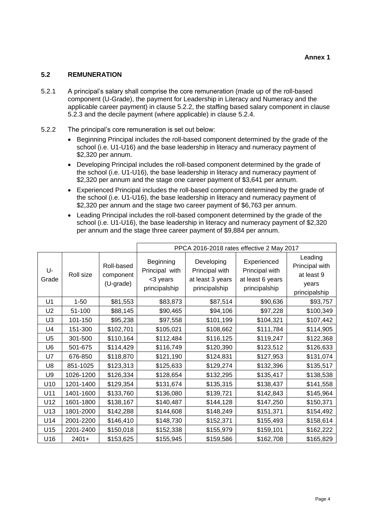# **5.2 REMUNERATION**

- 5.2.1 A principal's salary shall comprise the core remuneration (made up of the roll-based component (U-Grade), the payment for Leadership in Literacy and Numeracy and the applicable career payment) in clause 5.2.2, the staffing based salary component in clause 5.2.3 and the decile payment (where applicable) in clause 5.2.4.
- 5.2.2 The principal's core remuneration is set out below:
	- Beginning Principal includes the roll-based component determined by the grade of the school (i.e. U1-U16) and the base leadership in literacy and numeracy payment of \$2,320 per annum.
	- Developing Principal includes the roll-based component determined by the grade of the school (i.e. U1-U16), the base leadership in literacy and numeracy payment of \$2,320 per annum and the stage one career payment of \$3,641 per annum.
	- Experienced Principal includes the roll-based component determined by the grade of the school (i.e. U1-U16), the base leadership in literacy and numeracy payment of \$2,320 per annum and the stage two career payment of \$6,763 per annum.
	- Leading Principal includes the roll-based component determined by the grade of the school (i.e. U1-U16), the base leadership in literacy and numeracy payment of \$2,320 per annum and the stage three career payment of \$9,884 per annum.

|                |           |                                      | PPCA 2016-2018 rates effective 2 May 2017                |                                                                   |                                                                    |                                                                   |
|----------------|-----------|--------------------------------------|----------------------------------------------------------|-------------------------------------------------------------------|--------------------------------------------------------------------|-------------------------------------------------------------------|
| U-<br>Grade    | Roll size | Roll-based<br>component<br>(U-grade) | Beginning<br>Principal with<br><3 years<br>principalship | Developing<br>Principal with<br>at least 3 years<br>principalship | Experienced<br>Principal with<br>at least 6 years<br>principalship | Leading<br>Principal with<br>at least 9<br>years<br>principalship |
| U1             | $1 - 50$  | \$81,553                             | \$83,873                                                 | \$87,514                                                          | \$90,636                                                           | \$93,757                                                          |
| U <sub>2</sub> | 51-100    | \$88,145                             | \$90,465                                                 | \$94,106                                                          | \$97,228                                                           | \$100,349                                                         |
| U <sub>3</sub> | 101-150   | \$95,238                             | \$97,558                                                 | \$101,199                                                         | \$104,321                                                          | \$107,442                                                         |
| U <sub>4</sub> | 151-300   | \$102,701                            | \$105,021                                                | \$108,662                                                         | \$111,784                                                          | \$114,905                                                         |
| U <sub>5</sub> | 301-500   | \$110,164                            | \$112,484                                                | \$116,125                                                         | \$119,247                                                          | \$122,368                                                         |
| U <sub>6</sub> | 501-675   | \$114,429                            | \$116,749                                                | \$120,390                                                         | \$123,512                                                          | \$126,633                                                         |
| U7             | 676-850   | \$118,870                            | \$121,190                                                | \$124,831                                                         | \$127,953                                                          | \$131,074                                                         |
| U8             | 851-1025  | \$123,313                            | \$125,633                                                | \$129,274                                                         | \$132,396                                                          | \$135,517                                                         |
| U <sub>9</sub> | 1026-1200 | \$126,334                            | \$128,654                                                | \$132,295                                                         | \$135,417                                                          | \$138,538                                                         |
| U10            | 1201-1400 | \$129,354                            | \$131,674                                                | \$135,315                                                         | \$138,437                                                          | \$141,558                                                         |
| U11            | 1401-1600 | \$133,760                            | \$136,080                                                | \$139,721                                                         | \$142,843                                                          | \$145,964                                                         |
| U12            | 1601-1800 | \$138,167                            | \$140,487                                                | \$144,128                                                         | \$147,250                                                          | \$150,371                                                         |
| U13            | 1801-2000 | \$142,288                            | \$144,608                                                | \$148,249                                                         | \$151,371                                                          | \$154,492                                                         |
| U14            | 2001-2200 | \$146,410                            | \$148,730                                                | \$152,371                                                         | \$155,493                                                          | \$158,614                                                         |
| U15            | 2201-2400 | \$150,018                            | \$152,338                                                | \$155,979                                                         | \$159,101                                                          | \$162,222                                                         |
| U16            | $2401+$   | \$153,625                            | \$155,945                                                | \$159,586                                                         | \$162,708                                                          | \$165,829                                                         |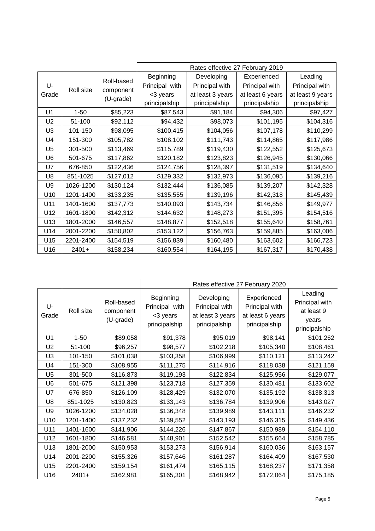|                |           |                         | Rates effective 27 February 2019 |                  |                  |                  |
|----------------|-----------|-------------------------|----------------------------------|------------------|------------------|------------------|
|                |           |                         | Beginning                        | Developing       | Experienced      | Leading          |
| U-<br>Grade    | Roll size | Roll-based<br>component | Principal with                   | Principal with   | Principal with   | Principal with   |
|                |           |                         | <3 years                         | at least 3 years | at least 6 years | at least 9 years |
|                |           | (U-grade)               | principalship                    | principalship    | principalship    | principalship    |
| U1             | $1 - 50$  | \$85,223                | \$87,543                         | \$91,184         | \$94,306         | \$97,427         |
| U <sub>2</sub> | 51-100    | \$92,112                | \$94,432                         | \$98,073         | \$101,195        | \$104,316        |
| U <sub>3</sub> | 101-150   | \$98,095                | \$100,415                        | \$104,056        | \$107,178        | \$110,299        |
| U4             | 151-300   | \$105,782               | \$108,102                        | \$111,743        | \$114,865        | \$117,986        |
| U <sub>5</sub> | 301-500   | \$113,469               | \$115,789                        | \$119,430        | \$122,552        | \$125,673        |
| U <sub>6</sub> | 501-675   | \$117,862               | \$120,182                        | \$123,823        | \$126,945        | \$130,066        |
| U7             | 676-850   | \$122,436               | \$124,756                        | \$128,397        | \$131,519        | \$134,640        |
| U8             | 851-1025  | \$127,012               | \$129,332                        | \$132,973        | \$136,095        | \$139,216        |
| U9             | 1026-1200 | \$130,124               | \$132,444                        | \$136,085        | \$139,207        | \$142,328        |
| U10            | 1201-1400 | \$133,235               | \$135,555                        | \$139,196        | \$142,318        | \$145,439        |
| U11            | 1401-1600 | \$137,773               | \$140,093                        | \$143,734        | \$146,856        | \$149,977        |
| U12            | 1601-1800 | \$142,312               | \$144,632                        | \$148,273        | \$151,395        | \$154,516        |
| U13            | 1801-2000 | \$146,557               | \$148,877                        | \$152,518        | \$155,640        | \$158,761        |
| U14            | 2001-2200 | \$150,802               | \$153,122                        | \$156,763        | \$159,885        | \$163,006        |
| U15            | 2201-2400 | \$154,519               | \$156,839                        | \$160,480        | \$163,602        | \$166,723        |
| U16            | $2401+$   | \$158,234               | \$160,554                        | \$164,195        | \$167,317        | \$170,438        |

|                |           |                                      | Rates effective 27 February 2020                         |                                                                   |                                                                    |                                                                   |
|----------------|-----------|--------------------------------------|----------------------------------------------------------|-------------------------------------------------------------------|--------------------------------------------------------------------|-------------------------------------------------------------------|
| U-<br>Grade    | Roll size | Roll-based<br>component<br>(U-grade) | Beginning<br>Principal with<br><3 years<br>principalship | Developing<br>Principal with<br>at least 3 years<br>principalship | Experienced<br>Principal with<br>at least 6 years<br>principalship | Leading<br>Principal with<br>at least 9<br>years<br>principalship |
| U1             | $1 - 50$  | \$89,058                             | \$91,378                                                 | \$95,019                                                          | \$98,141                                                           | \$101,262                                                         |
| U <sub>2</sub> | 51-100    | \$96,257                             | \$98,577                                                 | \$102,218                                                         | \$105,340                                                          | \$108,461                                                         |
| U <sub>3</sub> | 101-150   | \$101,038                            | \$103,358                                                | \$106,999                                                         | \$110,121                                                          | \$113,242                                                         |
| U <sub>4</sub> | 151-300   | \$108,955                            | \$111,275                                                | \$114,916                                                         | \$118,038                                                          | \$121,159                                                         |
| U <sub>5</sub> | 301-500   | \$116,873                            | \$119,193                                                | \$122,834                                                         | \$125,956                                                          | \$129,077                                                         |
| U <sub>6</sub> | 501-675   | \$121,398                            | \$123,718                                                | \$127,359                                                         | \$130,481                                                          | \$133,602                                                         |
| U7             | 676-850   | \$126,109                            | \$128,429                                                | \$132,070                                                         | \$135,192                                                          | \$138,313                                                         |
| U <sub>8</sub> | 851-1025  | \$130,823                            | \$133,143                                                | \$136,784                                                         | \$139,906                                                          | \$143,027                                                         |
| U9             | 1026-1200 | \$134,028                            | \$136,348                                                | \$139,989                                                         | \$143,111                                                          | \$146,232                                                         |
| U10            | 1201-1400 | \$137,232                            | \$139,552                                                | \$143,193                                                         | \$146,315                                                          | \$149,436                                                         |
| U11            | 1401-1600 | \$141,906                            | \$144,226                                                | \$147,867                                                         | \$150,989                                                          | \$154,110                                                         |
| U12            | 1601-1800 | \$146,581                            | \$148,901                                                | \$152,542                                                         | \$155,664                                                          | \$158,785                                                         |
| U13            | 1801-2000 | \$150,953                            | \$153,273                                                | \$156,914                                                         | \$160,036                                                          | \$163,157                                                         |
| U14            | 2001-2200 | \$155,326                            | \$157,646                                                | \$161,287                                                         | \$164,409                                                          | \$167,530                                                         |
| U15            | 2201-2400 | \$159,154                            | \$161,474                                                | \$165,115                                                         | \$168,237                                                          | \$171,358                                                         |
| U16            | $2401+$   | \$162,981                            | \$165,301                                                | \$168,942                                                         | \$172,064                                                          | \$175,185                                                         |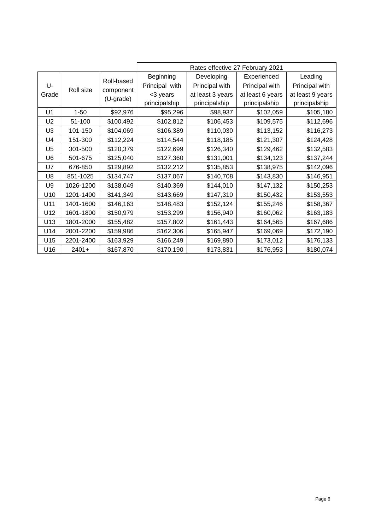|                |           |                         | Rates effective 27 February 2021 |                  |                  |                  |
|----------------|-----------|-------------------------|----------------------------------|------------------|------------------|------------------|
|                |           |                         | Beginning                        | Developing       | Experienced      | Leading          |
| U-<br>Grade    | Roll size | Roll-based<br>component | Principal with                   | Principal with   | Principal with   | Principal with   |
|                |           |                         | <3 years                         | at least 3 years | at least 6 years | at least 9 years |
|                |           | (U-grade)               | principalship                    | principalship    | principalship    | principalship    |
| U1             | $1 - 50$  | \$92,976                | \$95,296                         | \$98,937         | \$102,059        | \$105,180        |
| U <sub>2</sub> | 51-100    | \$100,492               | \$102,812                        | \$106,453        | \$109,575        | \$112,696        |
| U <sub>3</sub> | 101-150   | \$104,069               | \$106,389                        | \$110,030        | \$113,152        | \$116,273        |
| U4             | 151-300   | \$112,224               | \$114,544                        | \$118,185        | \$121,307        | \$124,428        |
| U <sub>5</sub> | 301-500   | \$120,379               | \$122,699                        | \$126,340        | \$129,462        | \$132,583        |
| U <sub>6</sub> | 501-675   | \$125,040               | \$127,360                        | \$131,001        | \$134,123        | \$137,244        |
| U7             | 676-850   | \$129,892               | \$132,212                        | \$135,853        | \$138,975        | \$142,096        |
| U8             | 851-1025  | \$134,747               | \$137,067                        | \$140,708        | \$143,830        | \$146,951        |
| U9             | 1026-1200 | \$138,049               | \$140,369                        | \$144,010        | \$147,132        | \$150,253        |
| U10            | 1201-1400 | \$141,349               | \$143,669                        | \$147,310        | \$150,432        | \$153,553        |
| U11            | 1401-1600 | \$146,163               | \$148,483                        | \$152,124        | \$155,246        | \$158,367        |
| U12            | 1601-1800 | \$150,979               | \$153,299                        | \$156,940        | \$160,062        | \$163,183        |
| U13            | 1801-2000 | \$155,482               | \$157,802                        | \$161,443        | \$164,565        | \$167,686        |
| U14            | 2001-2200 | \$159,986               | \$162,306                        | \$165,947        | \$169,069        | \$172,190        |
| U15            | 2201-2400 | \$163,929               | \$166,249                        | \$169,890        | \$173,012        | \$176,133        |
| U16            | $2401+$   | \$167,870               | \$170,190                        | \$173,831        | \$176,953        | \$180,074        |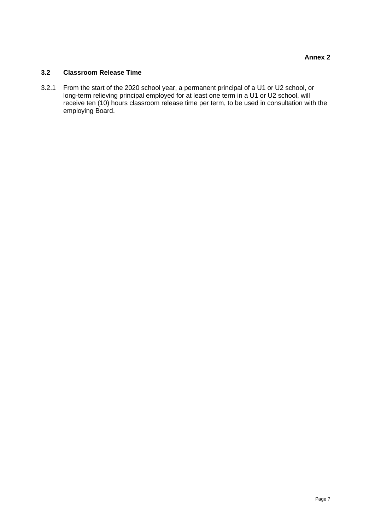## **3.2 Classroom Release Time**

3.2.1 From the start of the 2020 school year, a permanent principal of a U1 or U2 school, or long-term relieving principal employed for at least one term in a U1 or U2 school, will receive ten (10) hours classroom release time per term, to be used in consultation with the employing Board.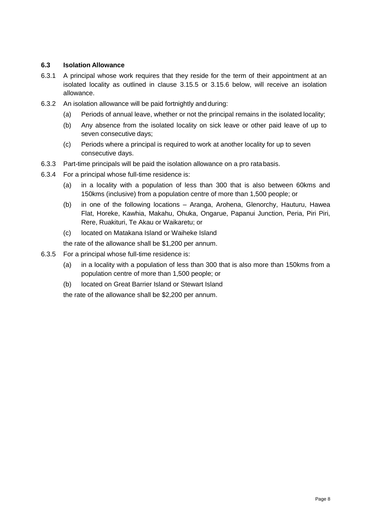# **6.3 Isolation Allowance**

- 6.3.1 A principal whose work requires that they reside for the term of their appointment at an isolated locality as outlined in clause 3.15.5 or 3.15.6 below, will receive an isolation allowance.
- 6.3.2 An isolation allowance will be paid fortnightly and during:
	- (a) Periods of annual leave, whether or not the principal remains in the isolated locality;
	- (b) Any absence from the isolated locality on sick leave or other paid leave of up to seven consecutive days;
	- (c) Periods where a principal is required to work at another locality for up to seven consecutive days.
- 6.3.3 Part-time principals will be paid the isolation allowance on a pro ratabasis.
- 6.3.4 For a principal whose full-time residence is:
	- (a) in a locality with a population of less than 300 that is also between 60kms and 150kms (inclusive) from a population centre of more than 1,500 people; or
	- (b) in one of the following locations Aranga, Arohena, Glenorchy, Hauturu, Hawea Flat, Horeke, Kawhia, Makahu, Ohuka, Ongarue, Papanui Junction, Peria, Piri Piri, Rere, Ruakituri, Te Akau or Waikaretu; or
	- (c) located on Matakana Island or Waiheke Island

the rate of the allowance shall be \$1,200 per annum.

- 6.3.5 For a principal whose full-time residence is:
	- (a) in a locality with a population of less than 300 that is also more than 150kms from a population centre of more than 1,500 people; or
	- (b) located on Great Barrier Island or Stewart Island

the rate of the allowance shall be \$2,200 per annum.